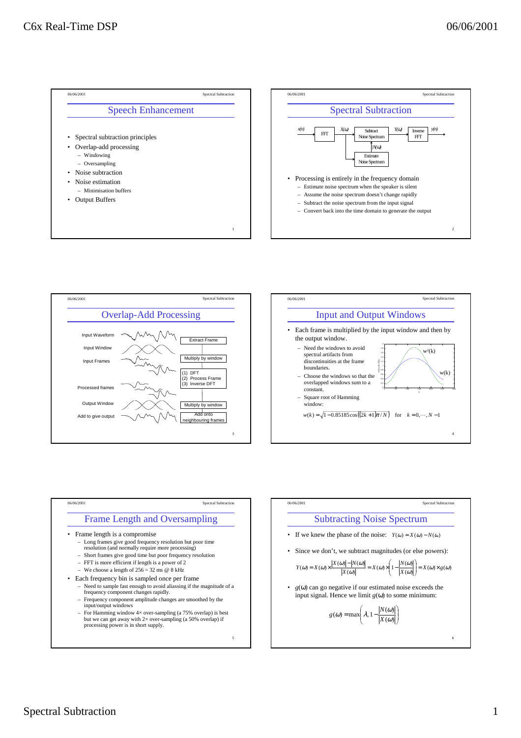